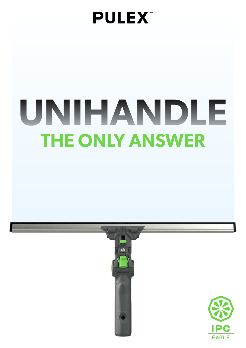# **PULEX**

# **THE ONLY ANSWER UNIHANDLE**